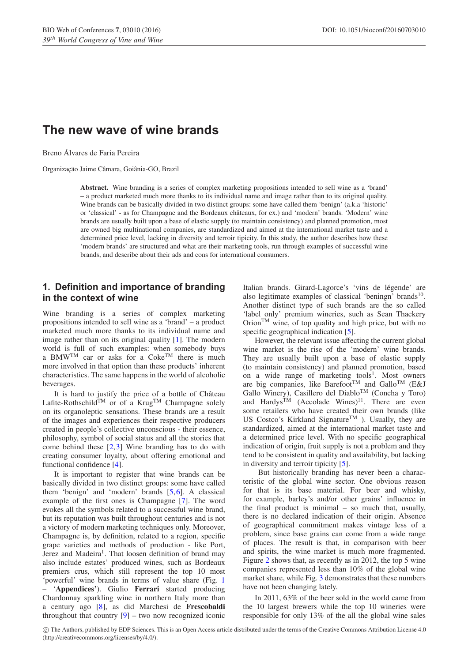# **The new wave of wine brands**

Breno Alvares de Faria Pereira ´

Organização Jaime Câmara, Goiânia-GO, Brazil

**Abstract.** Wine branding is a series of complex marketing propositions intended to sell wine as a 'brand' – a product marketed much more thanks to its individual name and image rather than to its original quality. Wine brands can be basically divided in two distinct groups: some have called them 'benign' (a.k.a 'historic' or 'classical' - as for Champagne and the Bordeaux châteaux, for ex.) and 'modern' brands. 'Modern' wine brands are usually built upon a base of elastic supply (to maintain consistency) and planned promotion, most are owned big multinational companies, are standardized and aimed at the international market taste and a determined price level, lacking in diversity and terroir tipicity. In this study, the author describes how these 'modern brands' are structured and what are their marketing tools, run through examples of successful wine brands, and describe about their ads and cons for international consumers.

## **1. Definition and importance of branding in the context of wine**

Wine branding is a series of complex marketing propositions intended to sell wine as a 'brand' – a product marketed much more thanks to its individual name and image rather than on its original quality [\[1](#page-3-0)]. The modern world is full of such examples: when somebody buys a BMW<sup>TM</sup> car or asks for a Coke<sup>TM</sup> there is much more involved in that option than these products' inherent characteristics. The same happens in the world of alcoholic beverages.

It is hard to justify the price of a bottle of Château Lafite-Rothschild<sup>TM</sup> or of a Krug<sup>TM</sup> Champagne solely on its organoleptic sensations. These brands are a result of the images and experiences their respective producers created in people's collective unconscious - their essence, philosophy, symbol of social status and all the stories that come behind these  $[2,3]$  $[2,3]$  $[2,3]$  Wine branding has to do with creating consumer loyalty, about offering emotional and functional confidence [\[4\]](#page-3-3).

It is important to register that wine brands can be basically divided in two distinct groups: some have called them 'benign' and 'modern' brands [\[5,](#page-3-4)[6\]](#page-4-0). A classical example of the first ones is Champagne [\[7\]](#page-4-1). The word evokes all the symbols related to a successful wine brand, but its reputation was built throughout centuries and is not a victory of modern marketing techniques only. Moreover, Champagne is, by definition, related to a region, specific grape varieties and methods of production - like Port, Jerez and Madeira<sup>1</sup>. That loosen definition of brand may also include estates' produced wines, such as Bordeaux premiers crus, which still represent the top 10 most 'powerful' wine brands in terms of value share (Fig. [1](#page-1-0) – '**Appendices'**). Giulio **Ferrari** started producing Chardonnay sparkling wine in northern Italy more than a century ago [\[8\]](#page-4-2), as did Marchesi de **Frescobaldi** throughout that country  $[9]$  $[9]$  – two now recognized iconic Italian brands. Girard-Lagorce's 'vins de légende' are also legitimate examples of classical 'beningn' brands<sup>10</sup>. Another distinct type of such brands are the so called 'label only' premium wineries, such as Sean Thackery Orion<sup>TM</sup> wine, of top quality and high price, but with no specific geographical indication [\[5\]](#page-3-4).

However, the relevant issue affecting the current global wine market is the rise of the 'modern' wine brands. They are usually built upon a base of elastic supply (to maintain consistency) and planned promotion, based on a wide range of marketing tools<sup>1</sup>. Most owners are big companies, like Barefoot<sup>TM</sup> and Gallo<sup>TM</sup> (E&J Gallo Winery), Casillero del Diablo<sup>TM</sup> (Concha y Toro) and Hardys<sup>TM</sup> (Accolade Wines)<sup>11</sup>. There are even some retailers who have created their own brands (like US Costco's Kirkland Signature<sup>TM</sup> ). Usually, they are standardized, aimed at the international market taste and a determined price level. With no specific geographical indication of origin, fruit supply is not a problem and they tend to be consistent in quality and availability, but lacking in diversity and terroir tipicity [\[5](#page-3-4)].

But historically branding has never been a characteristic of the global wine sector. One obvious reason for that is its base material. For beer and whisky, for example, barley's and/or other grains' influence in the final product is minimal – so much that, usually, there is no declared indication of their origin. Absence of geographical commitment makes vintage less of a problem, since base grains can come from a wide range of places. The result is that, in comparison with beer and spirits, the wine market is much more fragmented. Figure [2](#page-1-1) shows that, as recently as in 2012, the top 5 wine companies represented less than 10% of the global wine market share, while Fig. [3](#page-1-2) demonstrates that these numbers have not been changing lately.

In 2011, 63% of the beer sold in the world came from the 10 largest brewers while the top 10 wineries were responsible for only 13% of the all the global wine sales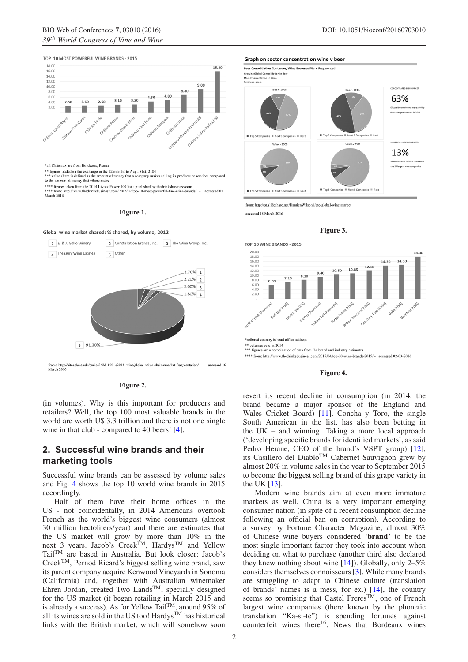

<span id="page-1-0"></span>

\*all Châteaux are from Bordeaux, France

\*\* figures traded on the exchange in the 12 months to Aug., 31st, 2104<br>\*\*\* value share is defined as the amount of money that a company makes selling its products or services compared<br>to the amount of money that others mak

\*\*\*\* figures taken from the 2014 Liv-ex Power 100 list - published by the<br>drinksbusiness.com \*\*\*\* from: http://www.thedrinksbusiness.com/2015/02/top-10-most-powerful-fine-wine-brands/ - accessed 02 March 2016

#### **Figure 1.**

<span id="page-1-1"></span>



from: http://sites.duke.edu/sociol342d\_001\_s2014\_wine/global-value-chains/market-fragmentation/ - accessed 16<br>March 2016

**Figure 2.**

(in volumes). Why is this important for producers and retailers? Well, the top 100 most valuable brands in the world are worth U\$ 3.3 trillion and there is not one single wine in that club - compared to 40 beers! [\[4\]](#page-3-3).

### **2. Successful wine brands and their marketing tools**

Successful wine brands can be assessed by volume sales and Fig. [4](#page-1-3) shows the top 10 world wine brands in 2015 accordingly.

Half of them have their home offices in the US - not coincidentally, in 2014 Americans overtook French as the world's biggest wine consumers (almost 30 million hectoliters/year) and there are estimates that the US market will grow by more than 10% in the next 3 years. Jacob's Creek<sup>TM</sup>, Hardys<sup>TM</sup> and Yellow TailTM are based in Australia. But look closer: Jacob's CreekTM, Pernod Ricard's biggest selling wine brand, saw its parent company acquire Kenwood Vineyards in Sonoma (California) and, together with Australian winemaker Ehren Jordan, created Two Lands<sup>TM</sup>, specially designed for the US market (it began retailing in March 2015 and is already a success). As for Yellow TailTM, around 95% of all its wines are sold in the US too!  $Hardys^TM$  has historical links with the British market, which will somehow soon 13%

the 10 largest wine comp

<span id="page-1-2"></span>

from: http://pt.slideshare.net/DamienWilson1/the-global-wine-market

accessed 18 March 2016

Top 5 Companies III Next 5 Companies III Rest



st 5 Comp

<span id="page-1-3"></span>

**Figure 4.**

revert its recent decline in consumption (in 2014, the brand became a major sponsor of the England and Wales Cricket Board) [\[11](#page-4-4)]. Concha y Toro, the single South American in the list, has also been betting in the UK – and winning! Taking a more local approach ('developing specific brands for identified markets', as said Pedro Herane, CEO of the brand's VSPT group) [\[12](#page-4-5)], its Casillero del DiabloTM Cabernet Sauvignon grew by almost 20% in volume sales in the year to September 2015 to become the biggest selling brand of this grape variety in the UK [\[13\]](#page-4-6).

Modern wine brands aim at even more immature markets as well. China is a very important emerging consumer nation (in spite of a recent consumption decline following an official ban on corruption). According to a survey by Fortune Character Magazine, almost 30% of Chinese wine buyers considered '**brand'** to be the most single important factor they took into account when deciding on what to purchase (another third also declared they knew nothing about wine [\[14](#page-4-7)]). Globally, only 2–5% considers themselves connoisseurs [\[3\]](#page-3-2). While many brands are struggling to adapt to Chinese culture (translation of brands' names is a mess, for ex.) [\[14](#page-4-7)], the country seems so promising that Castel Freres<sup>TM</sup>, one of French largest wine companies (there known by the phonetic translation "Ka-si-te") is spending fortunes against counterfeit wines there<sup>16</sup>. News that Bordeaux wines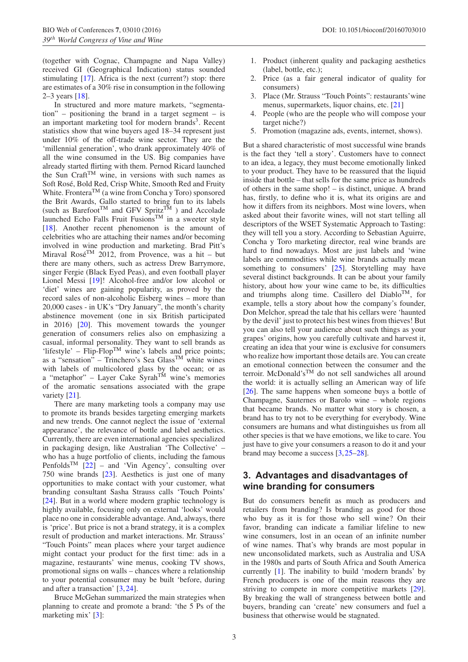(together with Cognac, Champagne and Napa Valley) received GI (Geographical Indication) status sounded stimulating [\[17\]](#page-4-8). Africa is the next (current?) stop: there are estimates of a 30% rise in consumption in the following 2–3 years [\[18](#page-4-9)].

In structured and more mature markets, "segmentation" – positioning the brand in a target segment – is an important marketing tool for modern brands<sup>3</sup>. Recent statistics show that wine buyers aged 18–34 represent just under 10% of the off-trade wine sector. They are the 'millennial generation', who drank approximately 40% of all the wine consumed in the US. Big companies have already started flirting with them. Pernod Ricard launched the Sun Craft<sup>TM</sup> wine, in versions with such names as Soft Rosé, Bold Red, Crisp White, Smooth Red and Fruity White. Frontera<sup>TM</sup> (a wine from Concha y Toro) sponsored the Brit Awards, Gallo started to bring fun to its labels (such as Barefoot<sup>TM</sup> and GFV Spritz<sup>TM</sup>) and Accolade launched Echo Falls Fruit FusionsTM in a sweeter style [\[18](#page-4-9)]. Another recent phenomenon is the amount of celebrities who are attaching their names and/or becoming involved in wine production and marketing. Brad Pitt's Miraval Rosé<sup>TM</sup> 2012, from Provence, was a hit – but there are many others, such as actress Drew Barrymore, singer Fergie (Black Eyed Peas), and even football player Lionel Messi [\[19\]](#page-4-10)! Alcohol-free and/or low alcohol or 'diet' wines are gaining popularity, as proved by the record sales of non-alcoholic Eisberg wines – more than 20,000 cases - in UK's "Dry January", the month's charity abstinence movement (one in six British participated in 2016) [\[20\]](#page-4-11). This movement towards the younger generation of consumers relies also on emphasizing a casual, informal personality. They want to sell brands as 'lifestyle' –  $Flip-Flop^{TM}$  wine's labels and price points; as a "sensation" – Trinchero's Sea Glass<sup>TM</sup> white wines with labels of multicolored glass by the ocean; or as a "metaphor" – Layer Cake  $Sym<sup>TM</sup>$  wine's memories of the aromatic sensations associated with the grape variety [\[21](#page-4-12)].

There are many marketing tools a company may use to promote its brands besides targeting emerging markets and new trends. One cannot neglect the issue of 'external appearance', the relevance of bottle and label aesthetics. Currently, there are even international agencies specialized in packaging design, like Australian 'The Collective' – who has a huge portfolio of clients, including the famous Penfolds<sup>TM</sup>  $\left[22\right]$  $\left[22\right]$  $\left[22\right]$  – and 'Vin Agency', consulting over 750 wine brands [\[23](#page-4-14)]. Aesthetics is just one of many opportunities to make contact with your customer, what branding consultant Sasha Strauss calls 'Touch Points' [\[24](#page-4-15)]. But in a world where modern graphic technology is highly available, focusing only on external 'looks' would place no one in considerable advantage. And, always, there is 'price'. But price is not a brand strategy, it is a complex result of production and market interactions. Mr. Strauss' "Touch Points" mean places where your target audience might contact your product for the first time: ads in a magazine, restaurants' wine menus, cooking TV shows, promotional signs on walls – chances where a relationship to your potential consumer may be built 'before, during and after a transaction' [\[3](#page-3-2),[24\]](#page-4-15).

Bruce McGehan summarized the main strategies when planning to create and promote a brand: 'the 5 Ps of the marketing mix' [\[3](#page-3-2)]:

- 1. Product (inherent quality and packaging aesthetics (label, bottle, etc.);
- 2. Price (as a fair general indicator of quality for consumers)
- 3. Place (Mr. Strauss "Touch Points": restaurants'wine menus, supermarkets, liquor chains, etc. [\[21\]](#page-4-12)
- 4. People (who are the people who will compose your target niche?)
- 5. Promotion (magazine ads, events, internet, shows).

But a shared characteristic of most successful wine brands is the fact they 'tell a story'. Customers have to connect to an idea, a legacy, they must become emotionally linked to your product. They have to be reassured that the liquid inside that bottle – that sells for the same price as hundreds of others in the same shop! – is distinct, unique. A brand has, firstly, to define who it is, what its origins are and how it differs from its neighbors. Most wine lovers, when asked about their favorite wines, will not start telling all descriptors of the WSET Systematic Approach to Tasting: they will tell you a story. According to Sebastian Aguirre, Concha y Toro marketing director, real wine brands are hard to find nowadays. Most are just labels and 'wine labels are commodities while wine brands actually mean something to consumers' [\[25](#page-4-16)]. Storytelling may have several distinct backgrounds. It can be about your family history, about how your wine came to be, its difficulties and triumphs along time. Casillero del Diablo<sup>TM</sup>, for example, tells a story about how the company's founder, Don Melchor, spread the tale that his cellars were 'haunted by the devil' just to protect his best wines from thieves! But you can also tell your audience about such things as your grapes' origins, how you carefully cultivate and harvest it, creating an idea that your wine is exclusive for consumers who realize how important those details are. You can create an emotional connection between the consumer and the terroir. McDonald'sTM do not sell sandwiches all around the world: it is actually selling an American way of life [\[26](#page-4-17)]. The same happens when someone buys a bottle of Champagne, Sauternes or Barolo wine – whole regions that became brands. No matter what story is chosen, a brand has to try not to be everything for everybody. Wine consumers are humans and what distinguishes us from all other species is that we have emotions, we like to care. You just have to give your consumers a reason to do it and your brand may become a success [\[3](#page-3-2)[,25](#page-4-16)[–28](#page-4-18)].

### **3. Advantages and disadvantages of wine branding for consumers**

But do consumers benefit as much as producers and retailers from branding? Is branding as good for those who buy as it is for those who sell wine? On their favor, branding can indicate a familiar lifeline to new wine consumers, lost in an ocean of an infinite number of wine names. That's why brands are most popular in new unconsolidated markets, such as Australia and USA in the 1980s and parts of South Africa and South America currently [\[1](#page-3-0)]. The inability to build 'modern brands' by French producers is one of the main reasons they are striving to compete in more competitive markets [\[29](#page-4-19)]. By breaking the wall of strangeness between bottle and buyers, branding can 'create' new consumers and fuel a business that otherwise would be stagnated.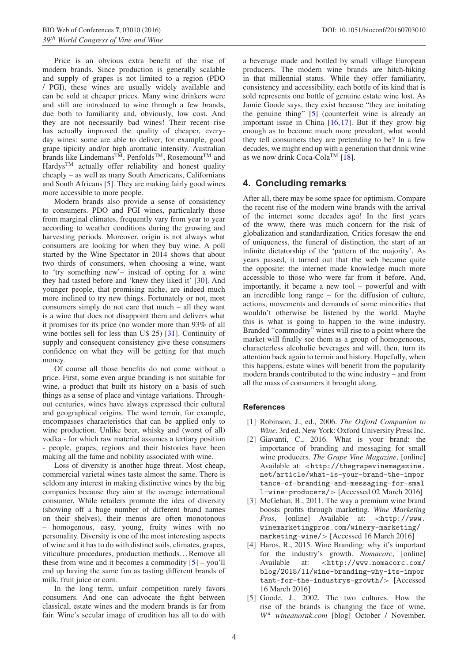Price is an obvious extra benefit of the rise of modern brands. Since production is generally scalable and supply of grapes is not limited to a region (PDO / PGI), these wines are usually widely available and can be sold at cheaper prices. Many wine drinkers were and still are introduced to wine through a few brands, due both to familiarity and, obviously, low cost. And they are not necessarily bad wines! Their recent rise has actually improved the quality of cheaper, everyday wines: some are able to deliver, for example, good grape tipicity and/or high aromatic intensity. Australian brands like Lindemans™, Penfolds™, Rosemount™ and Hardys<sup>TM</sup> actually offer reliability and honest quality cheaply – as well as many South Americans, Californians and South Africans [\[5\]](#page-3-4). They are making fairly good wines more accessible to more people.

Modern brands also provide a sense of consistency to consumers. PDO and PGI wines, particularly those from marginal climates, frequently vary from year to year according to weather conditions during the growing and harvesting periods. Moreover, origin is not always what consumers are looking for when they buy wine. A poll started by the Wine Spectator in 2014 shows that about two thirds of consumers, when choosing a wine, want to 'try something new'– instead of opting for a wine they had tasted before and 'knew they liked it' [\[30](#page-4-20)]. And younger people, that promising niche, are indeed much more inclined to try new things. Fortunately or not, most consumers simply do not care that much – all they want is a wine that does not disappoint them and delivers what it promises for its price (no wonder more than 93% of all wine bottles sell for less than U\$ 25) [\[31\]](#page-4-21). Continuity of supply and consequent consistency give these consumers confidence on what they will be getting for that much money.

Of course all those benefits do not come without a price. First, some even argue branding is not suitable for wine, a product that built its history on a basis of such things as a sense of place and vintage variations. Throughout centuries, wines have always expressed their cultural and geographical origins. The word terroir, for example, encompasses characteristics that can be applied only to wine production. Unlike beer, whisky and (worst of all) vodka - for which raw material assumes a tertiary position - people, grapes, regions and their histories have been making all the fame and nobility associated with wine.

Loss of diversity is another huge threat. Most cheap, commercial varietal wines taste almost the same. There is seldom any interest in making distinctive wines by the big companies because they aim at the average international consumer. While retailers promote the idea of diversity (showing off a huge number of different brand names on their shelves), their menus are often monotonous – homogenous, easy, young, fruity wines with no personality. Diversity is one of the most interesting aspects of wine and it has to do with distinct soils, climates, grapes, viticulture procedures, production methods. . . Remove all these from wine and it becomes a commodity  $[5]$  – you'll end up having the same fun as tasting different brands of milk, fruit juice or corn.

In the long term, unfair competition rarely favors consumers. And one can advocate the fight between classical, estate wines and the modern brands is far from fair. Wine's secular image of erudition has all to do with a beverage made and bottled by small village European producers. The modern wine brands are hitch-hiking in that millennial status. While they offer familiarity, consistency and accessibility, each bottle of its kind that is sold represents one bottle of genuine estate wine lost. As Jamie Goode says, they exist because "they are imitating the genuine thing" [\[5](#page-3-4)] (counterfeit wine is already an important issue in China [\[16](#page-4-22)[,17](#page-4-8)]. But if they grow big enough as to become much more prevalent, what would they tell consumers they are pretending to be? In a few decades, we might end up with a generation that drink wine as we now drink Coca-Cola<sup>TM</sup> [\[18](#page-4-9)].

### **4. Concluding remarks**

After all, there may be some space for optimism. Compare the recent rise of the modern wine brands with the arrival of the internet some decades ago! In the first years of the www, there was much concern for the risk of globalization and standardization. Critics foresaw the end of uniqueness, the funeral of distinction, the start of an infinite dictatorship of the 'pattern of the majority'. As years passed, it turned out that the web became quite the opposite: the internet made knowledge much more accessible to those who were far from it before. And, importantly, it became a new tool – powerful and with an incredible long range – for the diffusion of culture, actions, movements and demands of some minorities that wouldn't otherwise be listened by the world. Maybe this is what is going to happen to the wine industry. Branded "commodity" wines will rise to a point where the market will finally see them as a group of homogeneous, characterless alcoholic beverages and will, then, turn its attention back again to terroir and history. Hopefully, when this happens, estate wines will benefit from the popularity modern brands contributed to the wine industry – and from all the mass of consumers it brought along.

#### <span id="page-3-0"></span>**References**

- [1] Robinson, J., ed., 2006. *The Oxford Companion to Wine*. 3rd ed. New York: Oxford University Press Inc.
- <span id="page-3-1"></span>[2] Giavanti, C., 2016. What is your brand: the importance of branding and messaging for small wine producers. *The Grape Vine Magazine*, [online] Available at: *<*http://thegrapevinemagazine. net/article/what-is-your-brand-the-impor tance-of-branding-and-messaging-for-smal l-wine-producers/*>* [Accessed 02 March 2016]
- <span id="page-3-2"></span>[3] McGehan, B., 2011. The way a premium wine brand boosts profits through marketing. *Wine Marketing Pros*, [online] Available at: *<*http://www. winemarketingpros.com/winery-marketing/ marketing-wine/*>* [Accessed 16 March 2016]
- <span id="page-3-3"></span>[4] Haros, R., 2015. Wine Branding: why it's important for the industry's growth. *Nomacorc*, [online] Available at: *<*http://www.nomacorc.com/ blog/2015/11/wine-branding-why-its-impor tant-for-the-industrys-growth/*>* [Accessed 16 March 2016]
- <span id="page-3-4"></span>[5] Goode, J., 2002. The two cultures. How the rise of the brands is changing the face of wine. *W<sup>a</sup> wineanorak.com* [blog] October / November.